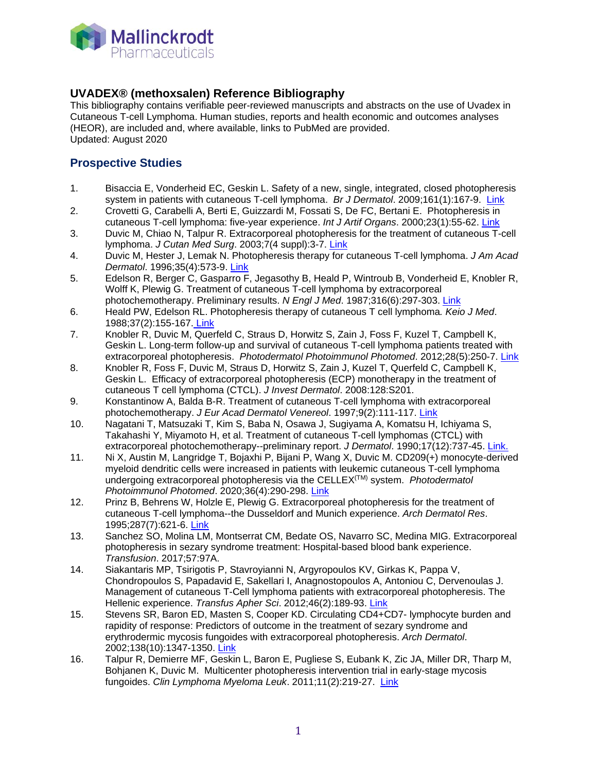

#### **UVADEX® (methoxsalen) Reference Bibliography**

This bibliography contains verifiable peer-reviewed manuscripts and abstracts on the use of Uvadex in Cutaneous T-cell Lymphoma. Human studies, reports and health economic and outcomes analyses (HEOR), are included and, where available, links to PubMed are provided. Updated: August 2020

## **Prospective Studies**

- 1. Bisaccia E, Vonderheid EC, Geskin L. Safety of a new, single, integrated, closed photopheresis system in patients with cutaneous T-cell lymphoma. *Br J Dermatol*. 2009;161(1):167-9. [Link](https://www.ncbi.nlm.nih.gov/pubmed/19298276)
- 2. Crovetti G, Carabelli A, Berti E, Guizzardi M, Fossati S, De FC, Bertani E. Photopheresis in cutaneous T-cell lymphoma: five-year experience. *Int J Artif Organs*. 2000;23(1):55-62. [Link](https://www.ncbi.nlm.nih.gov/pubmed/12118838)
- 3. Duvic M, Chiao N, Talpur R. Extracorporeal photopheresis for the treatment of cutaneous T-cell lymphoma. *J Cutan Med Surg*. 2003;7(4 suppl):3-7. [Link](https://www.ncbi.nlm.nih.gov/pubmed/12958700)
- 4. Duvic M, Hester J, Lemak N. Photopheresis therapy for cutaneous T-cell lymphoma. *J Am Acad Dermatol*. 1996;35(4):573-9. [Link](https://www.ncbi.nlm.nih.gov/pubmed/8859287)
- 5. Edelson R, Berger C, Gasparro F, Jegasothy B, Heald P, Wintroub B, Vonderheid E, Knobler R, Wolff K, Plewig G. Treatment of cutaneous T-cell lymphoma by extracorporeal photochemotherapy. Preliminary results. *N Engl J Med*. 1987;316(6):297-303. [Link](https://www.ncbi.nlm.nih.gov/pubmed/3543674)
- 6. Heald PW, Edelson RL. Photopheresis therapy of cutaneous T cell lymphoma*. Keio J Med*. 1988;37(2):155-167. [Link](https://www.ncbi.nlm.nih.gov/pubmed/3262784)
- 7. Knobler R, Duvic M, Querfeld C, Straus D, Horwitz S, Zain J, Foss F, Kuzel T, Campbell K, Geskin L. Long-term follow-up and survival of cutaneous T-cell lymphoma patients treated with extracorporeal photopheresis. *Photodermatol Photoimmunol Photomed*. 2012;28(5):250-7. [Link](https://www.ncbi.nlm.nih.gov/pubmed/22971190)
- 8. Knobler R, Foss F, Duvic M, Straus D, Horwitz S, Zain J, Kuzel T, Querfeld C, Campbell K, Geskin L. Efficacy of extracorporeal photopheresis (ECP) monotherapy in the treatment of cutaneous T cell lymphoma (CTCL). *J Invest Dermatol*. 2008:128:S201.
- 9. Konstantinow A, Balda B-R. Treatment of cutaneous T-cell lymphoma with extracorporeal photochemotherapy. *J Eur Acad Dermatol Venereol*. 1997;9(2):111-117. [Link](https://www.ncbi.nlm.nih.gov/pubmed/8959954)
- 10. Nagatani T, Matsuzaki T, Kim S, Baba N, Osawa J, Sugiyama A, Komatsu H, Ichiyama S, Takahashi Y, Miyamoto H, et al. Treatment of cutaneous T-cell lymphomas (CTCL) with extracorporeal photochemotherapy--preliminary report. *J Dermatol*. 1990;17(12):737-45. [Link.](https://www.ncbi.nlm.nih.gov/pubmed/2086618)
- 11. Ni X, Austin M, Langridge T, Bojaxhi P, Bijani P, Wang X, Duvic M. CD209(+) monocyte-derived myeloid dendritic cells were increased in patients with leukemic cutaneous T-cell lymphoma undergoing extracorporeal photopheresis via the CELLEX(TM) system. *Photodermatol Photoimmunol Photomed*. 2020;36(4):290-298. [Link](https://www.ncbi.nlm.nih.gov/pubmed/32187738)
- 12. Prinz B, Behrens W, Holzle E, Plewig G. Extracorporeal photopheresis for the treatment of cutaneous T-cell lymphoma--the Dusseldorf and Munich experience. *Arch Dermatol Res*. 1995;287(7):621-6. [Link](https://www.ncbi.nlm.nih.gov/pubmed/8534123.)
- 13. Sanchez SO, Molina LM, Montserrat CM, Bedate OS, Navarro SC, Medina MIG. Extracorporeal photopheresis in sezary syndrome treatment: Hospital-based blood bank experience. *Transfusion*. 2017;57:97A.
- 14. Siakantaris MP, Tsirigotis P, Stavroyianni N, Argyropoulos KV, Girkas K, Pappa V, Chondropoulos S, Papadavid E, Sakellari I, Anagnostopoulos A, Antoniou C, Dervenoulas J. Management of cutaneous T-Cell lymphoma patients with extracorporeal photopheresis. The Hellenic experience. *Transfus Apher Sci*. 2012;46(2):189-93. [Link](https://www.ncbi.nlm.nih.gov/pubmed/22178592)
- 15. Stevens SR, Baron ED, Masten S, Cooper KD. Circulating CD4+CD7- lymphocyte burden and rapidity of response: Predictors of outcome in the treatment of sezary syndrome and erythrodermic mycosis fungoides with extracorporeal photopheresis. *Arch Dermatol*. 2002;138(10):1347-1350. [Link](https://www.ncbi.nlm.nih.gov/pubmed/12374541)
- 16. Talpur R, Demierre MF, Geskin L, Baron E, Pugliese S, Eubank K, Zic JA, Miller DR, Tharp M, Bohjanen K, Duvic M. Multicenter photopheresis intervention trial in early-stage mycosis fungoides. *Clin Lymphoma Myeloma Leuk*. 2011;11(2):219-27. [Link](https://www.ncbi.nlm.nih.gov/pubmed/21575927)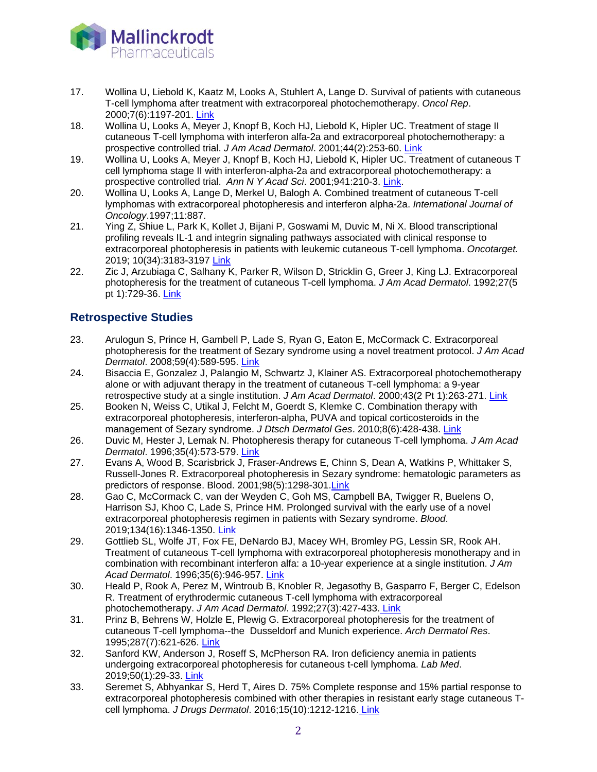

- l, 17. Wollina U, Liebold K, Kaatz M, Looks A, Stuhlert A, Lange D. Survival of patients with cutaneous T-cell lymphoma after treatment with extracorporeal photochemotherapy. *Oncol Rep*. 2000;7(6):1197-201. [Link](https://www.ncbi.nlm.nih.gov/pubmed/11032913)
- 18. Wollina U, Looks A, Meyer J, Knopf B, Koch HJ, Liebold K, Hipler UC. Treatment of stage II cutaneous T-cell lymphoma with interferon alfa-2a and extracorporeal photochemotherapy: a prospective controlled trial. *J Am Acad Dermatol*. 2001;44(2):253-60. [Link](https://www.ncbi.nlm.nih.gov/pubmed/11174383)
- 19. Wollina U, Looks A, Meyer J, Knopf B, Koch HJ, Liebold K, Hipler UC. Treatment of cutaneous T cell lymphoma stage II with interferon-alpha-2a and extracorporeal photochemotherapy: a prospective controlled trial. *Ann N Y Acad Sci*. 2001;941:210-3. [Link.](https://www.ncbi.nlm.nih.gov/pubmed/11594576)
- 20. Wollina U, Looks A, Lange D, Merkel U, Balogh A. Combined treatment of cutaneous T-cell lymphomas with extracorporeal photopheresis and interferon alpha-2a. *International Journal of Oncology*.1997;11:887.
- 21. Ying Z, Shiue L, Park K, Kollet J, Bijani P, Goswami M, Duvic M, Ni X. Blood transcriptional profiling reveals IL-1 and integrin signaling pathways associated with clinical response to extracorporeal photopheresis in patients with leukemic cutaneous T-cell lymphoma. *Oncotarget.*  2019; 10(34):3183-3197 [Link](https://www.ncbi.nlm.nih.gov/pubmed/31139332)
- 22. Zic J, Arzubiaga C, Salhany K, Parker R, Wilson D, Stricklin G, Greer J, King LJ. Extracorporeal photopheresis for the treatment of cutaneous T-cell lymphoma. *J Am Acad Dermatol*. 1992;27(5 pt 1):729-36. [Link](https://www.ncbi.nlm.nih.gov/pubmed/1430395)

## **Retrospective Studies**

- 23. Arulogun S, Prince H, Gambell P, Lade S, Ryan G, Eaton E, McCormack C. Extracorporeal photopheresis for the treatment of Sezary syndrome using a novel treatment protocol. *J Am Acad Dermatol*. 2008;59(4):589-595. [Link](https://www.ncbi.nlm.nih.gov/pubmed/18656282)
- 24. Bisaccia E, Gonzalez J, Palangio M, Schwartz J, Klainer AS. Extracorporeal photochemotherapy alone or with adjuvant therapy in the treatment of cutaneous T-cell lymphoma: a 9-year retrospective study at a single institution. *J Am Acad Dermatol*. 2000;43(2 Pt 1):263-271. [Link](https://www.ncbi.nlm.nih.gov/pubmed/10906649)
- 25. Booken N, Weiss C, Utikal J, Felcht M, Goerdt S, Klemke C. Combination therapy with extracorporeal photopheresis, interferon-alpha, PUVA and topical corticosteroids in the management of Sezary syndrome. *J Dtsch Dermatol Ges*. 2010;8(6):428-438. [Link](https://www.ncbi.nlm.nih.gov/pubmed/20180887)
- 26. Duvic M, Hester J, Lemak N. Photopheresis therapy for cutaneous T-cell lymphoma. *J Am Acad Dermatol*. 1996;35(4):573-579. [Link](https://www.ncbi.nlm.nih.gov/pubmed/%208859287)
- 27. Evans A, Wood B, Scarisbrick J, Fraser-Andrews E, Chinn S, Dean A, Watkins P, Whittaker S, Russell-Jones R. Extracorporeal photopheresis in Sezary syndrome: hematologic parameters as predictors of response. Blood. 2001;98(5):1298-301[.Link](https://www.ncbi.nlm.nih.gov/pubmed/11520774)
- 28. Gao C, McCormack C, van der Weyden C, Goh MS, Campbell BA, Twigger R, Buelens O, Harrison SJ, Khoo C, Lade S, Prince HM. Prolonged survival with the early use of a novel extracorporeal photopheresis regimen in patients with Sezary syndrome. *Blood*. 2019;134(16):1346-1350. [Link](file://hzcifs01/dbelice$/Literature%20Search/Therakos/Final/Prolonged%20survival%20with%20the%20early%20use%20of%20a%20novel%20extracorporeal%20photopheresis%20regimen%20in%20patients%20with%20Sezary%20syndrome)
- 29. Gottlieb SL, Wolfe JT, Fox FE, DeNardo BJ, Macey WH, Bromley PG, Lessin SR, Rook AH. Treatment of cutaneous T-cell lymphoma with extracorporeal photopheresis monotherapy and in combination with recombinant interferon alfa: a 10-year experience at a single institution. *J Am Acad Dermatol*. 1996;35(6):946-957. [Link](https://www.ncbi.nlm.nih.gov/pubmed/8959954)
- 30. Heald P, Rook A, Perez M, Wintroub B, Knobler R, Jegasothy B, Gasparro F, Berger C, Edelson R. Treatment of erythrodermic cutaneous T-cell lymphoma with extracorporeal photochemotherapy. *J Am Acad Dermatol*. 1992;27(3):427-433. [Link](https://www.ncbi.nlm.nih.gov/pubmed/1401279)
- 31. Prinz B, Behrens W, Holzle E, Plewig G. Extracorporeal photopheresis for the treatment of cutaneous T-cell lymphoma--the Dusseldorf and Munich experience. *Arch Dermatol Res*. 1995;287(7):621-626. [Link](https://www.ncbi.nlm.nih.gov/pubmed/8534123.)
- 32. Sanford KW, Anderson J, Roseff S, McPherson RA. Iron deficiency anemia in patients undergoing extracorporeal photopheresis for cutaneous t-cell lymphoma. *Lab Med*. 2019;50(1):29-33. [Link](https://www.ncbi.nlm.nih.gov/pubmed/29955854)
- 33. Seremet S, Abhyankar S, Herd T, Aires D. 75% Complete response and 15% partial response to extracorporeal photopheresis combined with other therapies in resistant early stage cutaneous Tcell lymphoma. *J Drugs Dermatol*. 2016;15(10):1212-1216. [Link](https://www.ncbi.nlm.nih.gov/pubmed/27741338)